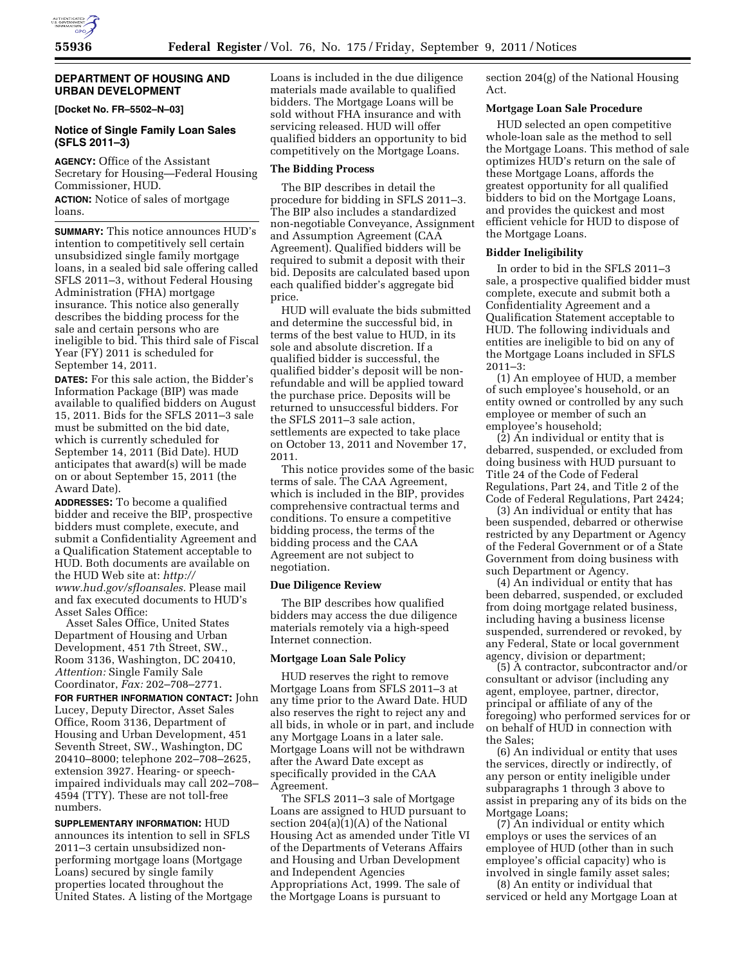# **DEPARTMENT OF HOUSING AND URBAN DEVELOPMENT**

**[Docket No. FR–5502–N–03]** 

## **Notice of Single Family Loan Sales (SFLS 2011–3)**

**AGENCY:** Office of the Assistant Secretary for Housing—Federal Housing Commissioner, HUD.

**ACTION:** Notice of sales of mortgage loans.

**SUMMARY:** This notice announces HUD's intention to competitively sell certain unsubsidized single family mortgage loans, in a sealed bid sale offering called SFLS 2011–3, without Federal Housing Administration (FHA) mortgage insurance. This notice also generally describes the bidding process for the sale and certain persons who are ineligible to bid. This third sale of Fiscal Year (FY) 2011 is scheduled for September 14, 2011.

**DATES:** For this sale action, the Bidder's Information Package (BIP) was made available to qualified bidders on August 15, 2011. Bids for the SFLS 2011–3 sale must be submitted on the bid date, which is currently scheduled for September 14, 2011 (Bid Date). HUD anticipates that award(s) will be made on or about September 15, 2011 (the Award Date).

**ADDRESSES:** To become a qualified bidder and receive the BIP, prospective bidders must complete, execute, and submit a Confidentiality Agreement and a Qualification Statement acceptable to HUD. Both documents are available on the HUD Web site at: *[http://](http://www.hud.gov/sfloansales) [www.hud.gov/sfloansales.](http://www.hud.gov/sfloansales)* Please mail and fax executed documents to HUD's Asset Sales Office:

Asset Sales Office, United States Department of Housing and Urban Development, 451 7th Street, SW., Room 3136, Washington, DC 20410, *Attention:* Single Family Sale Coordinator, *Fax:* 202–708–2771.

**FOR FURTHER INFORMATION CONTACT:** John Lucey, Deputy Director, Asset Sales Office, Room 3136, Department of Housing and Urban Development, 451 Seventh Street, SW., Washington, DC 20410–8000; telephone 202–708–2625, extension 3927. Hearing- or speechimpaired individuals may call 202–708– 4594 (TTY). These are not toll-free numbers.

**SUPPLEMENTARY INFORMATION:** HUD announces its intention to sell in SFLS 2011–3 certain unsubsidized nonperforming mortgage loans (Mortgage Loans) secured by single family properties located throughout the United States. A listing of the Mortgage Loans is included in the due diligence materials made available to qualified bidders. The Mortgage Loans will be sold without FHA insurance and with servicing released. HUD will offer qualified bidders an opportunity to bid competitively on the Mortgage Loans.

## **The Bidding Process**

The BIP describes in detail the procedure for bidding in SFLS 2011–3. The BIP also includes a standardized non-negotiable Conveyance, Assignment and Assumption Agreement (CAA Agreement). Qualified bidders will be required to submit a deposit with their bid. Deposits are calculated based upon each qualified bidder's aggregate bid price.

HUD will evaluate the bids submitted and determine the successful bid, in terms of the best value to HUD, in its sole and absolute discretion. If a qualified bidder is successful, the qualified bidder's deposit will be nonrefundable and will be applied toward the purchase price. Deposits will be returned to unsuccessful bidders. For the SFLS 2011–3 sale action, settlements are expected to take place on October 13, 2011 and November 17, 2011.

This notice provides some of the basic terms of sale. The CAA Agreement, which is included in the BIP, provides comprehensive contractual terms and conditions. To ensure a competitive bidding process, the terms of the bidding process and the CAA Agreement are not subject to negotiation.

### **Due Diligence Review**

The BIP describes how qualified bidders may access the due diligence materials remotely via a high-speed Internet connection.

#### **Mortgage Loan Sale Policy**

HUD reserves the right to remove Mortgage Loans from SFLS 2011–3 at any time prior to the Award Date. HUD also reserves the right to reject any and all bids, in whole or in part, and include any Mortgage Loans in a later sale. Mortgage Loans will not be withdrawn after the Award Date except as specifically provided in the CAA Agreement.

The SFLS 2011–3 sale of Mortgage Loans are assigned to HUD pursuant to section 204(a)(1)(A) of the National Housing Act as amended under Title VI of the Departments of Veterans Affairs and Housing and Urban Development and Independent Agencies Appropriations Act, 1999. The sale of the Mortgage Loans is pursuant to

section 204(g) of the National Housing Act.

### **Mortgage Loan Sale Procedure**

HUD selected an open competitive whole-loan sale as the method to sell the Mortgage Loans. This method of sale optimizes HUD's return on the sale of these Mortgage Loans, affords the greatest opportunity for all qualified bidders to bid on the Mortgage Loans, and provides the quickest and most efficient vehicle for HUD to dispose of the Mortgage Loans.

## **Bidder Ineligibility**

In order to bid in the SFLS 2011–3 sale, a prospective qualified bidder must complete, execute and submit both a Confidentiality Agreement and a Qualification Statement acceptable to HUD. The following individuals and entities are ineligible to bid on any of the Mortgage Loans included in SFLS 2011–3:

(1) An employee of HUD, a member of such employee's household, or an entity owned or controlled by any such employee or member of such an employee's household;

(2) An individual or entity that is debarred, suspended, or excluded from doing business with HUD pursuant to Title 24 of the Code of Federal Regulations, Part 24, and Title 2 of the Code of Federal Regulations, Part 2424;

(3) An individual or entity that has been suspended, debarred or otherwise restricted by any Department or Agency of the Federal Government or of a State Government from doing business with such Department or Agency.

(4) An individual or entity that has been debarred, suspended, or excluded from doing mortgage related business, including having a business license suspended, surrendered or revoked, by any Federal, State or local government agency, division or department;

(5) A contractor, subcontractor and/or consultant or advisor (including any agent, employee, partner, director, principal or affiliate of any of the foregoing) who performed services for or on behalf of HUD in connection with the Sales;

(6) An individual or entity that uses the services, directly or indirectly, of any person or entity ineligible under subparagraphs 1 through 3 above to assist in preparing any of its bids on the Mortgage Loans;

(7) An individual or entity which employs or uses the services of an employee of HUD (other than in such employee's official capacity) who is involved in single family asset sales;

(8) An entity or individual that serviced or held any Mortgage Loan at